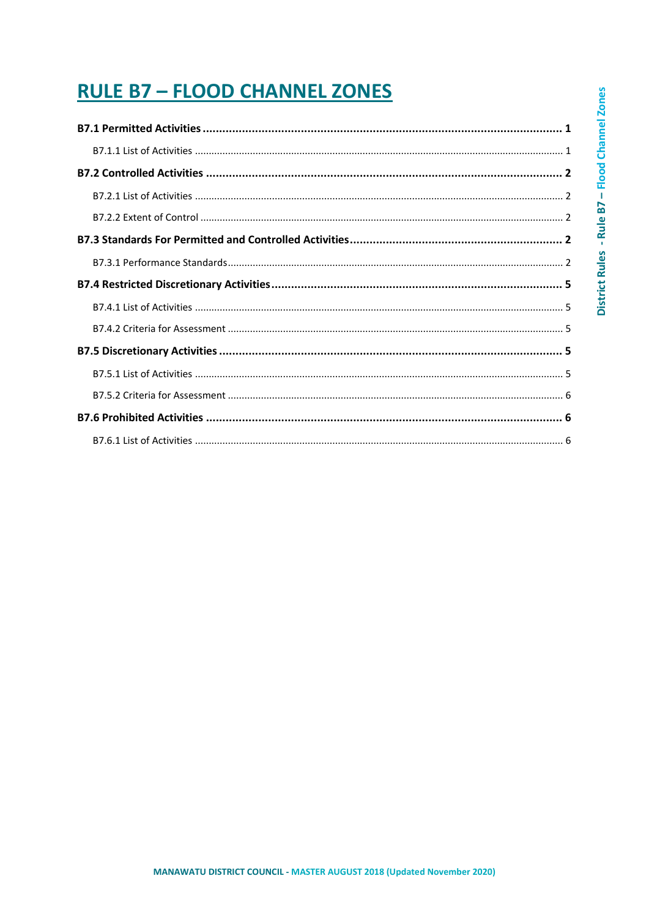# **RULE B7 - FLOOD CHANNEL ZONES**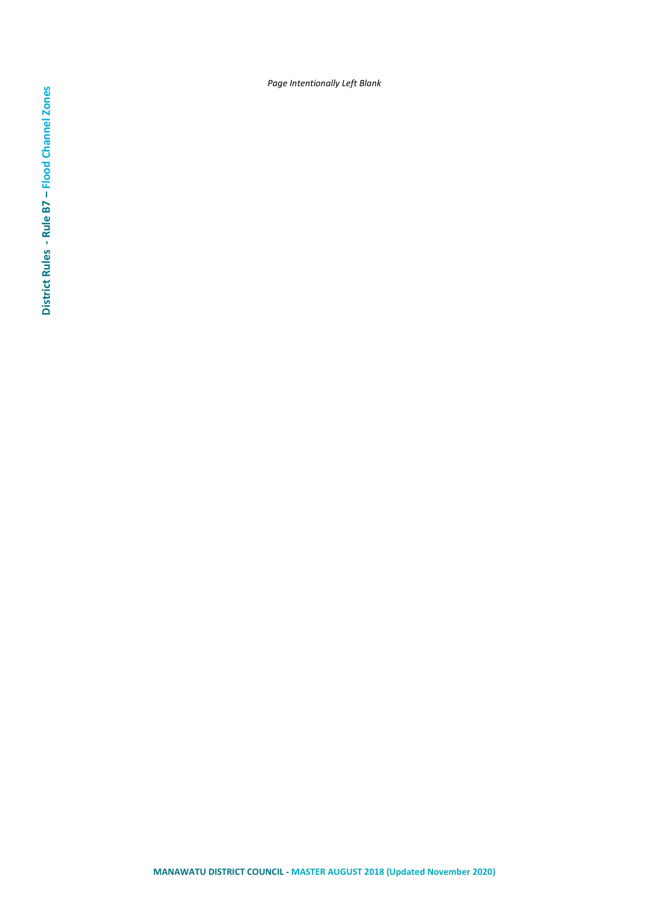*Page Intentionally Left Blank*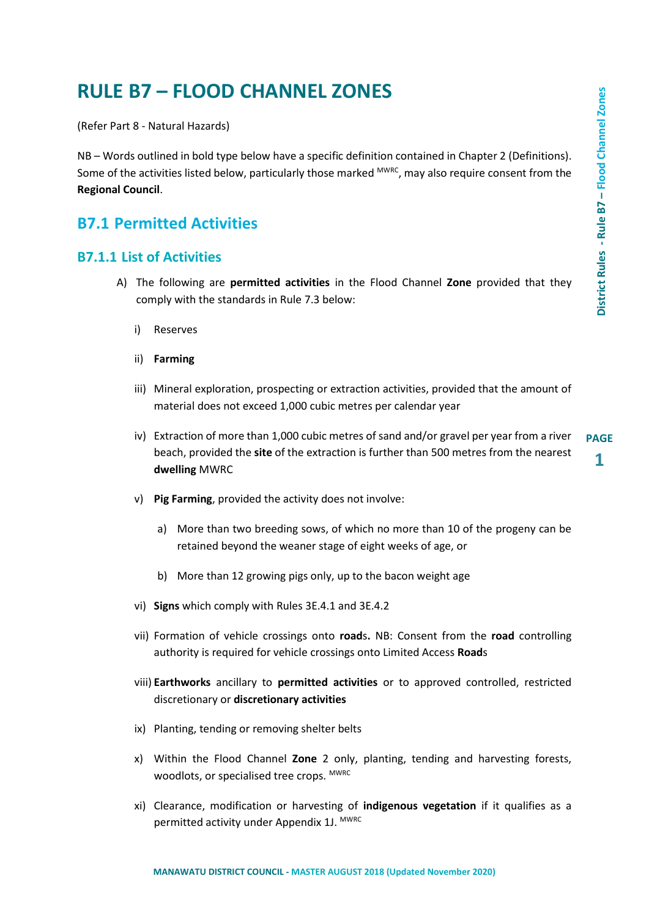# **RULE B7 – FLOOD CHANNEL ZONES**

(Refer Part 8 - Natural Hazards)

NB – Words outlined in bold type below have a specific definition contained in Chapter 2 (Definitions). Some of the activities listed below, particularly those marked MWRC, may also require consent from the **Regional Council**.

# <span id="page-2-0"></span>**B7.1 Permitted Activities**

### <span id="page-2-1"></span>**B7.1.1 List of Activities**

- A) The following are **permitted activities** in the Flood Channel **Zone** provided that they comply with the standards in Rule 7.3 below:
	- i) Reserves
	- ii) **Farming**
	- iii) Mineral exploration, prospecting or extraction activities, provided that the amount of material does not exceed 1,000 cubic metres per calendar year
	- iv) Extraction of more than 1,000 cubic metres of sand and/or gravel per year from a river beach, provided the **site** of the extraction is further than 500 metres from the nearest **dwelling** MWRC
		- **PAGE 1**

- v) **Pig Farming**, provided the activity does not involve:
	- a) More than two breeding sows, of which no more than 10 of the progeny can be retained beyond the weaner stage of eight weeks of age, or
	- b) More than 12 growing pigs only, up to the bacon weight age
- vi) **Signs** which comply with Rules 3E.4.1 and 3E.4.2
- vii) Formation of vehicle crossings onto **road**s**.** NB: Consent from the **road** controlling authority is required for vehicle crossings onto Limited Access **Road**s
- viii) **Earthworks** ancillary to **permitted activities** or to approved controlled, restricted discretionary or **discretionary activities**
- ix) Planting, tending or removing shelter belts
- x) Within the Flood Channel **Zone** 2 only, planting, tending and harvesting forests, woodlots, or specialised tree crops. MWRC
- xi) Clearance, modification or harvesting of **indigenous vegetation** if it qualifies as a permitted activity under Appendix 1J. MWRC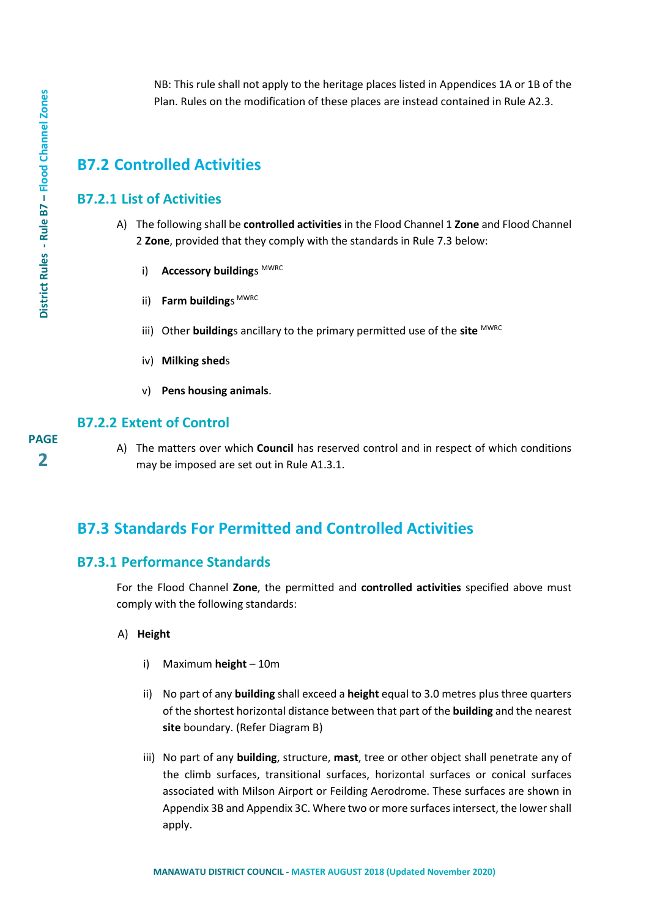NB: This rule shall not apply to the heritage places listed in Appendices 1A or 1B of the Plan. Rules on the modification of these places are instead contained in Rule A2.3.

# <span id="page-3-0"></span>**B7.2 Controlled Activities**

### <span id="page-3-1"></span>**B7.2.1 List of Activities**

- A) The following shall be **controlled activities** in the Flood Channel 1 **Zone** and Flood Channel 2 **Zone**, provided that they comply with the standards in Rule 7.3 below:
	- i) **Accessory building**s MWRC
	- ii) **Farm building**s MWRC
	- iii) Other **building**s ancillary to the primary permitted use of the site MWRC
	- iv) **Milking shed**s
	- v) **Pens housing animals**.

## <span id="page-3-2"></span>**B7.2.2 Extent of Control**

A) The matters over which **Council** has reserved control and in respect of which conditions may be imposed are set out in Rule A1.3.1.

# <span id="page-3-3"></span>**B7.3 Standards For Permitted and Controlled Activities**

# <span id="page-3-4"></span>**B7.3.1 Performance Standards**

For the Flood Channel **Zone**, the permitted and **controlled activities** specified above must comply with the following standards:

### A) **Height**

- i) Maximum **height** 10m
- ii) No part of any **building** shall exceed a **height** equal to 3.0 metres plus three quarters of the shortest horizontal distance between that part of the **building** and the nearest **site** boundary. (Refer Diagram B)
- iii) No part of any **building**, structure, **mast**, tree or other object shall penetrate any of the climb surfaces, transitional surfaces, horizontal surfaces or conical surfaces associated with Milson Airport or Feilding Aerodrome. These surfaces are shown in Appendix 3B and Appendix 3C. Where two or more surfaces intersect, the lower shall apply.

**PAGE**

 $\overline{\mathbf{2}}$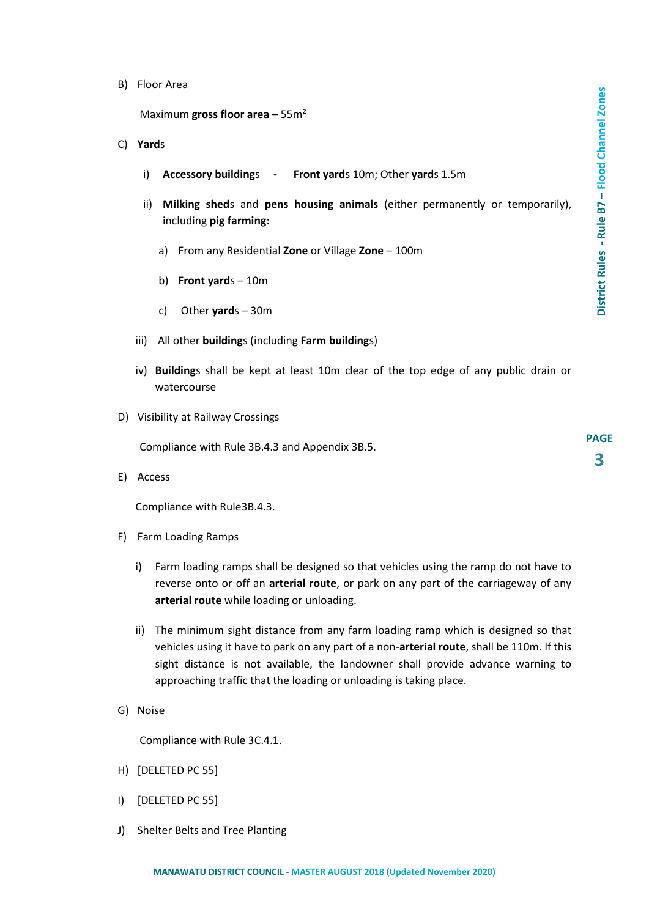#### B) Floor Area

Maximum **gross floor area** – 55m²

- C) **Yard**s
	- i) **Accessory building**s  **Front yard**s 10m; Other **yard**s 1.5m
	- ii) **Milking shed**s and **pens housing animals** (either permanently or temporarily), including **pig farming:**
		- a) From any Residential **Zone** or Village **Zone** 100m
		- b) **Front yard**s 10m
		- c) Other **yard**s 30m
	- iii) All other **building**s (including **Farm building**s)
	- iv) **Building**s shall be kept at least 10m clear of the top edge of any public drain or watercourse
- D) Visibility at Railway Crossings

Compliance with Rule 3B.4.3 and Appendix 3B.5.

E) Access

Compliance with Rule3B.4.3.

- F) Farm Loading Ramps
	- i) Farm loading ramps shall be designed so that vehicles using the ramp do not have to reverse onto or off an **arterial route**, or park on any part of the carriageway of any **arterial route** while loading or unloading.
	- ii) The minimum sight distance from any farm loading ramp which is designed so that vehicles using it have to park on any part of a non-**arterial route**, shall be 110m. If this sight distance is not available, the landowner shall provide advance warning to approaching traffic that the loading or unloading is taking place.
- G) Noise

Compliance with Rule 3C.4.1.

- H) [DELETED PC 55]
- I) [DELETED PC 55]
- J) Shelter Belts and Tree Planting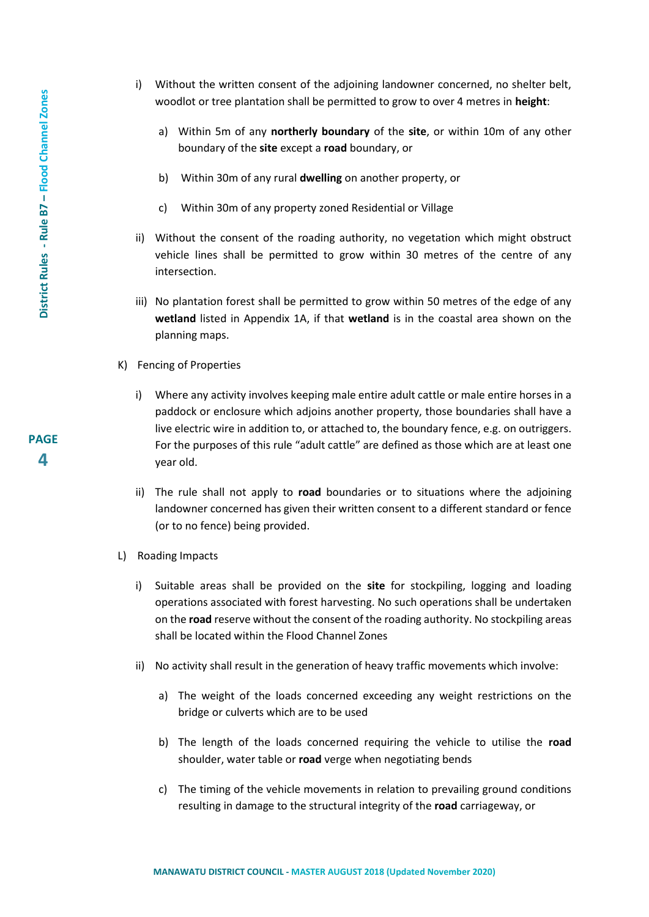- i) Without the written consent of the adjoining landowner concerned, no shelter belt, woodlot or tree plantation shall be permitted to grow to over 4 metres in **height**:
	- a) Within 5m of any **northerly boundary** of the **site**, or within 10m of any other boundary of the **site** except a **road** boundary, or
	- b) Within 30m of any rural **dwelling** on another property, or
	- c) Within 30m of any property zoned Residential or Village
- ii) Without the consent of the roading authority, no vegetation which might obstruct vehicle lines shall be permitted to grow within 30 metres of the centre of any intersection.
- iii) No plantation forest shall be permitted to grow within 50 metres of the edge of any **wetland** listed in Appendix 1A, if that **wetland** is in the coastal area shown on the planning maps.
- K) Fencing of Properties
	- i) Where any activity involves keeping male entire adult cattle or male entire horses in a paddock or enclosure which adjoins another property, those boundaries shall have a live electric wire in addition to, or attached to, the boundary fence, e.g. on outriggers. For the purposes of this rule "adult cattle" are defined as those which are at least one year old.
	- ii) The rule shall not apply to **road** boundaries or to situations where the adjoining landowner concerned has given their written consent to a different standard or fence (or to no fence) being provided.
- L) Roading Impacts
	- i) Suitable areas shall be provided on the **site** for stockpiling, logging and loading operations associated with forest harvesting. No such operations shall be undertaken on the **road** reserve without the consent of the roading authority. No stockpiling areas shall be located within the Flood Channel Zones
	- ii) No activity shall result in the generation of heavy traffic movements which involve:
		- a) The weight of the loads concerned exceeding any weight restrictions on the bridge or culverts which are to be used
		- b) The length of the loads concerned requiring the vehicle to utilise the **road** shoulder, water table or **road** verge when negotiating bends
		- c) The timing of the vehicle movements in relation to prevailing ground conditions resulting in damage to the structural integrity of the **road** carriageway, or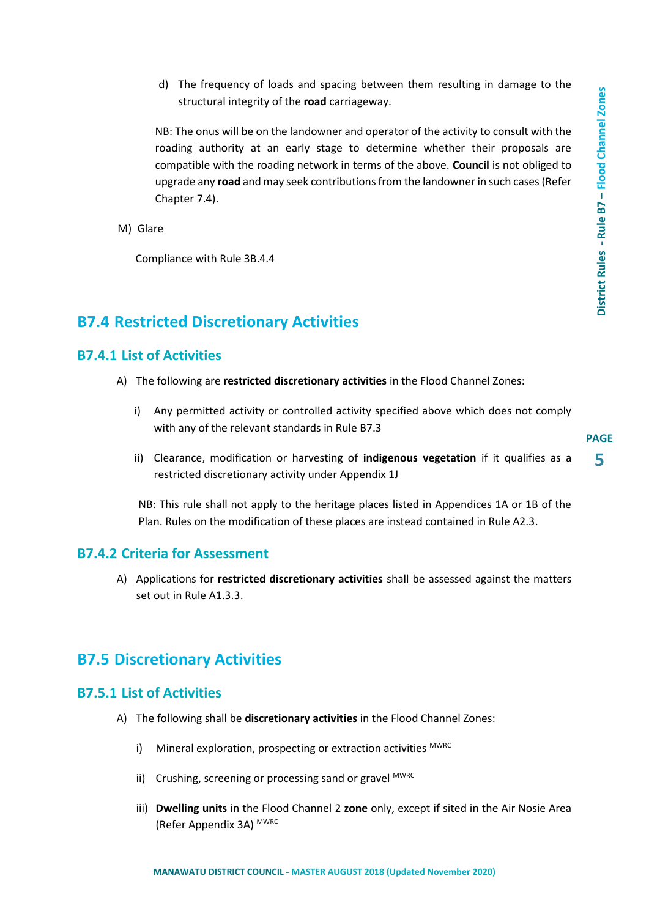d) The frequency of loads and spacing between them resulting in damage to the structural integrity of the **road** carriageway.

NB: The onus will be on the landowner and operator of the activity to consult with the roading authority at an early stage to determine whether their proposals are compatible with the roading network in terms of the above. **Council** is not obliged to upgrade any **road** and may seek contributions from the landowner in such cases (Refer Chapter 7.4).

M) Glare

Compliance with Rule 3B.4.4

# <span id="page-6-0"></span>**B7.4 Restricted Discretionary Activities**

## <span id="page-6-1"></span>**B7.4.1 List of Activities**

- A) The following are **restricted discretionary activities** in the Flood Channel Zones:
	- i) Any permitted activity or controlled activity specified above which does not comply with any of the relevant standards in Rule B7.3
	- ii) Clearance, modification or harvesting of **indigenous vegetation** if it qualifies as a restricted discretionary activity under Appendix 1J

NB: This rule shall not apply to the heritage places listed in Appendices 1A or 1B of the Plan. Rules on the modification of these places are instead contained in Rule A2.3.

### <span id="page-6-2"></span>**B7.4.2 Criteria for Assessment**

A) Applications for **restricted discretionary activities** shall be assessed against the matters set out in Rule A1.3.3.

# <span id="page-6-3"></span>**B7.5 Discretionary Activities**

### <span id="page-6-4"></span>**B7.5.1 List of Activities**

- A) The following shall be **discretionary activities** in the Flood Channel Zones:
	- i) Mineral exploration, prospecting or extraction activities MWRC
	- ii) Crushing, screening or processing sand or gravel MWRC
	- iii) **Dwelling units** in the Flood Channel 2 **zone** only, except if sited in the Air Nosie Area (Refer Appendix 3A) MWRC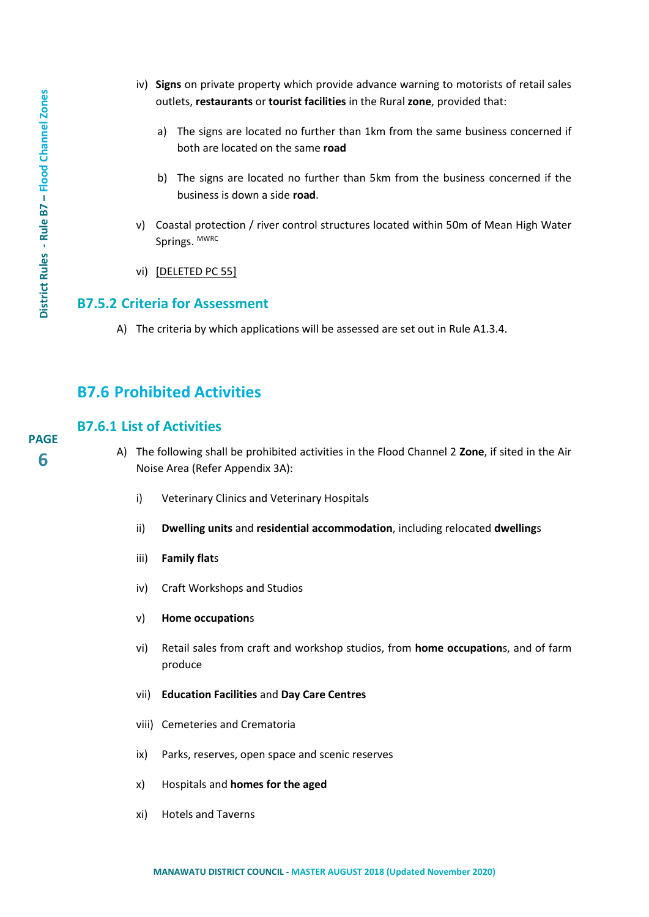- iv) **Signs** on private property which provide advance warning to motorists of retail sales outlets, **restaurants** or **tourist facilities** in the Rural **zone**, provided that:
	- a) The signs are located no further than 1km from the same business concerned if both are located on the same **road**
	- b) The signs are located no further than 5km from the business concerned if the business is down a side **road**.
- v) Coastal protection / river control structures located within 50m of Mean High Water Springs. MWRC
- vi) [DELETED PC 55]

## <span id="page-7-0"></span>**B7.5.2 Criteria for Assessment**

A) The criteria by which applications will be assessed are set out in Rule A1.3.4.

# <span id="page-7-1"></span>**B7.6 Prohibited Activities**

# <span id="page-7-2"></span>**B7.6.1 List of Activities**

- A) The following shall be prohibited activities in the Flood Channel 2 **Zone**, if sited in the Air Noise Area (Refer Appendix 3A):
	- i) Veterinary Clinics and Veterinary Hospitals
	- ii) **Dwelling units** and **residential accommodation**, including relocated **dwelling**s
	- iii) **Family flat**s
	- iv) Craft Workshops and Studios
	- v) **Home occupation**s
	- vi) Retail sales from craft and workshop studios, from **home occupation**s, and of farm produce
	- vii) **Education Facilities** and **Day Care Centres**
	- viii) Cemeteries and Crematoria
	- ix) Parks, reserves, open space and scenic reserves
	- x) Hospitals and **homes for the aged**
	- xi) Hotels and Taverns